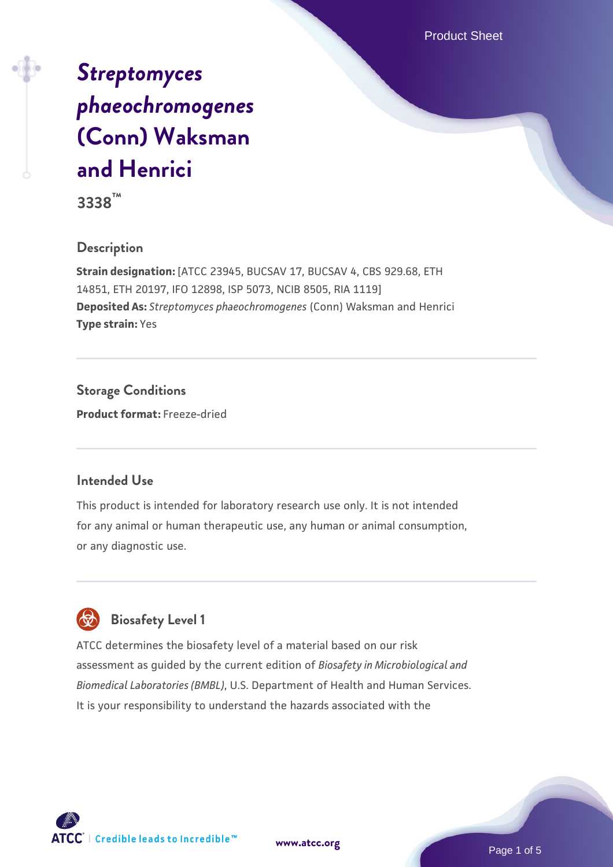# *[Streptomyces](https://www.atcc.org/products/3338) [phaeochromogenes](https://www.atcc.org/products/3338)* **[\(Conn\) Waksman](https://www.atcc.org/products/3338) [and Henrici](https://www.atcc.org/products/3338)**

**3338™**

# **Description**

**Strain designation:** [ATCC 23945, BUCSAV 17, BUCSAV 4, CBS 929.68, ETH 14851, ETH 20197, IFO 12898, ISP 5073, NCIB 8505, RIA 1119] **Deposited As:** *Streptomyces phaeochromogenes* (Conn) Waksman and Henrici **Type strain:** Yes

**Storage Conditions Product format:** Freeze-dried

# **Intended Use**

This product is intended for laboratory research use only. It is not intended for any animal or human therapeutic use, any human or animal consumption, or any diagnostic use.



# **Biosafety Level 1**

ATCC determines the biosafety level of a material based on our risk assessment as guided by the current edition of *Biosafety in Microbiological and Biomedical Laboratories (BMBL)*, U.S. Department of Health and Human Services. It is your responsibility to understand the hazards associated with the

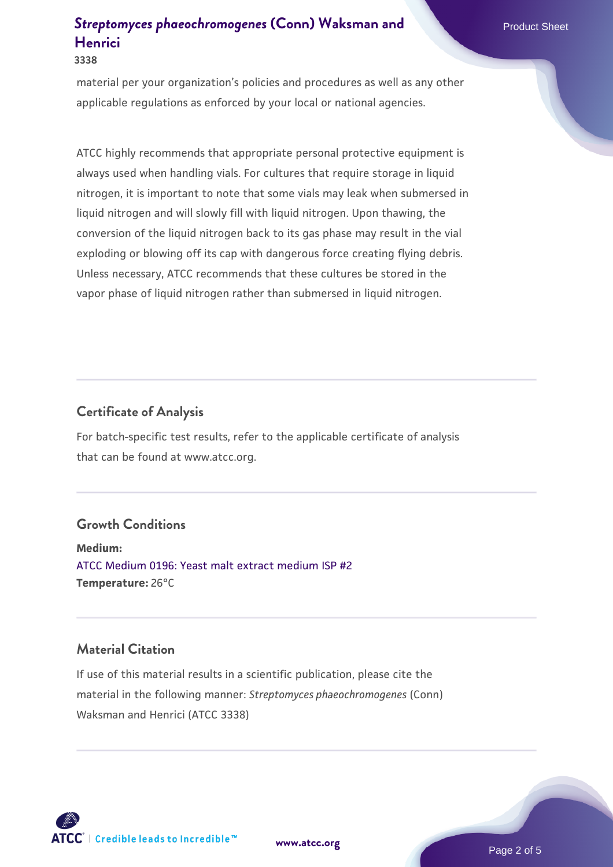#### **3338**

material per your organization's policies and procedures as well as any other applicable regulations as enforced by your local or national agencies.

ATCC highly recommends that appropriate personal protective equipment is always used when handling vials. For cultures that require storage in liquid nitrogen, it is important to note that some vials may leak when submersed in liquid nitrogen and will slowly fill with liquid nitrogen. Upon thawing, the conversion of the liquid nitrogen back to its gas phase may result in the vial exploding or blowing off its cap with dangerous force creating flying debris. Unless necessary, ATCC recommends that these cultures be stored in the vapor phase of liquid nitrogen rather than submersed in liquid nitrogen.

## **Certificate of Analysis**

For batch-specific test results, refer to the applicable certificate of analysis that can be found at www.atcc.org.

### **Growth Conditions**

**Medium:**  [ATCC Medium 0196: Yeast malt extract medium ISP #2](https://www.atcc.org/-/media/product-assets/documents/microbial-media-formulations/1/9/6/atcc-medium-0196.pdf?rev=3ab98ce3034f46208b34017336aa4c86) **Temperature:** 26°C

# **Material Citation**

If use of this material results in a scientific publication, please cite the material in the following manner: *Streptomyces phaeochromogenes* (Conn) Waksman and Henrici (ATCC 3338)

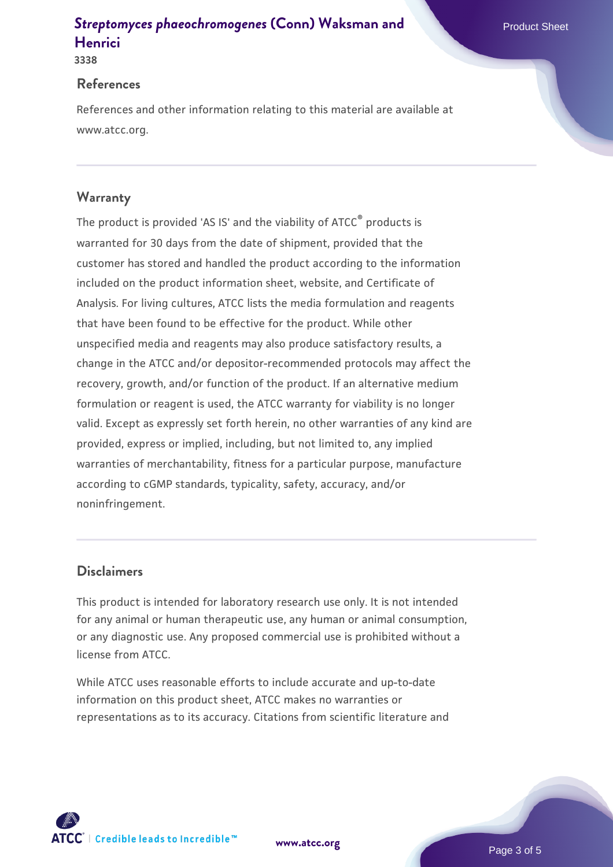#### **3338**

#### **References**

References and other information relating to this material are available at www.atcc.org.

## **Warranty**

The product is provided 'AS IS' and the viability of ATCC® products is warranted for 30 days from the date of shipment, provided that the customer has stored and handled the product according to the information included on the product information sheet, website, and Certificate of Analysis. For living cultures, ATCC lists the media formulation and reagents that have been found to be effective for the product. While other unspecified media and reagents may also produce satisfactory results, a change in the ATCC and/or depositor-recommended protocols may affect the recovery, growth, and/or function of the product. If an alternative medium formulation or reagent is used, the ATCC warranty for viability is no longer valid. Except as expressly set forth herein, no other warranties of any kind are provided, express or implied, including, but not limited to, any implied warranties of merchantability, fitness for a particular purpose, manufacture according to cGMP standards, typicality, safety, accuracy, and/or noninfringement.

## **Disclaimers**

This product is intended for laboratory research use only. It is not intended for any animal or human therapeutic use, any human or animal consumption, or any diagnostic use. Any proposed commercial use is prohibited without a license from ATCC.

While ATCC uses reasonable efforts to include accurate and up-to-date information on this product sheet, ATCC makes no warranties or representations as to its accuracy. Citations from scientific literature and

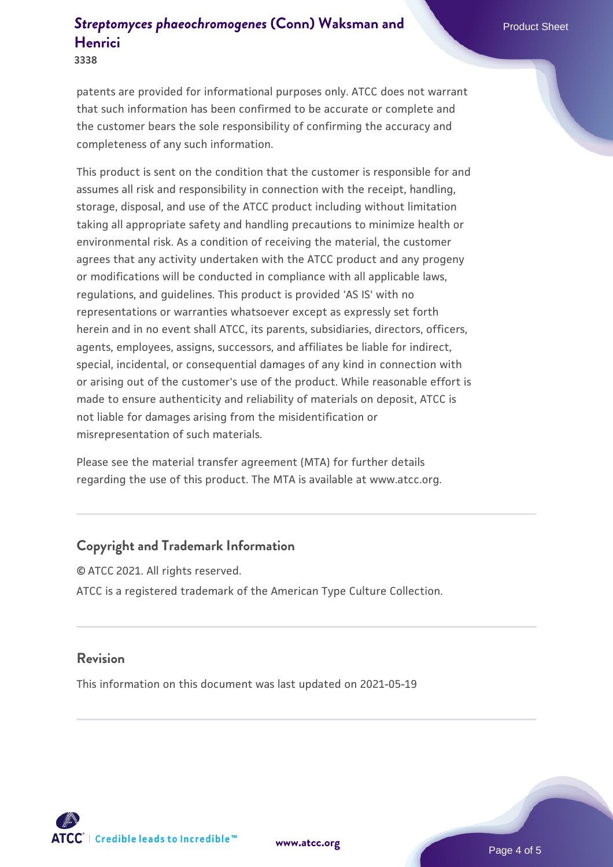**3338**

patents are provided for informational purposes only. ATCC does not warrant that such information has been confirmed to be accurate or complete and the customer bears the sole responsibility of confirming the accuracy and completeness of any such information.

This product is sent on the condition that the customer is responsible for and assumes all risk and responsibility in connection with the receipt, handling, storage, disposal, and use of the ATCC product including without limitation taking all appropriate safety and handling precautions to minimize health or environmental risk. As a condition of receiving the material, the customer agrees that any activity undertaken with the ATCC product and any progeny or modifications will be conducted in compliance with all applicable laws, regulations, and guidelines. This product is provided 'AS IS' with no representations or warranties whatsoever except as expressly set forth herein and in no event shall ATCC, its parents, subsidiaries, directors, officers, agents, employees, assigns, successors, and affiliates be liable for indirect, special, incidental, or consequential damages of any kind in connection with or arising out of the customer's use of the product. While reasonable effort is made to ensure authenticity and reliability of materials on deposit, ATCC is not liable for damages arising from the misidentification or misrepresentation of such materials.

Please see the material transfer agreement (MTA) for further details regarding the use of this product. The MTA is available at www.atcc.org.

# **Copyright and Trademark Information**

© ATCC 2021. All rights reserved. ATCC is a registered trademark of the American Type Culture Collection.

### **Revision**

This information on this document was last updated on 2021-05-19